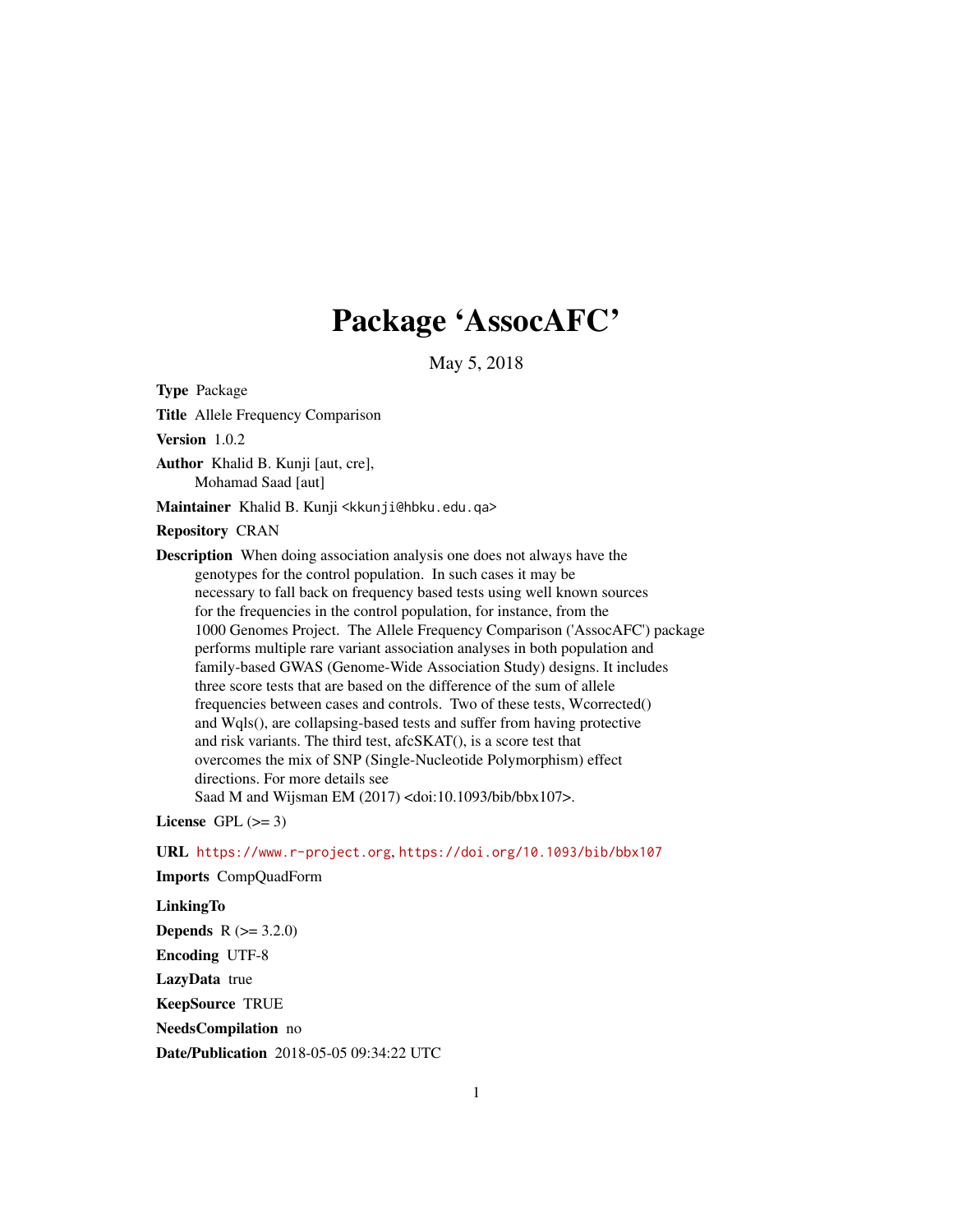# Package 'AssocAFC'

May 5, 2018

Type Package

Title Allele Frequency Comparison

Version 1.0.2

Author Khalid B. Kunji [aut, cre], Mohamad Saad [aut]

Maintainer Khalid B. Kunji <kkunji@hbku.edu.qa>

# Repository CRAN

Description When doing association analysis one does not always have the genotypes for the control population. In such cases it may be necessary to fall back on frequency based tests using well known sources for the frequencies in the control population, for instance, from the 1000 Genomes Project. The Allele Frequency Comparison ('AssocAFC') package performs multiple rare variant association analyses in both population and family-based GWAS (Genome-Wide Association Study) designs. It includes three score tests that are based on the difference of the sum of allele frequencies between cases and controls. Two of these tests, Wcorrected() and Wqls(), are collapsing-based tests and suffer from having protective and risk variants. The third test, afcSKAT(), is a score test that overcomes the mix of SNP (Single-Nucleotide Polymorphism) effect directions. For more details see Saad M and Wijsman EM (2017) <doi:10.1093/bib/bbx107>.

License GPL  $(>= 3)$ 

URL <https://www.r-project.org>, <https://doi.org/10.1093/bib/bbx107> Imports CompQuadForm

# LinkingTo

**Depends**  $R (= 3.2.0)$ Encoding UTF-8 LazyData true KeepSource TRUE NeedsCompilation no Date/Publication 2018-05-05 09:34:22 UTC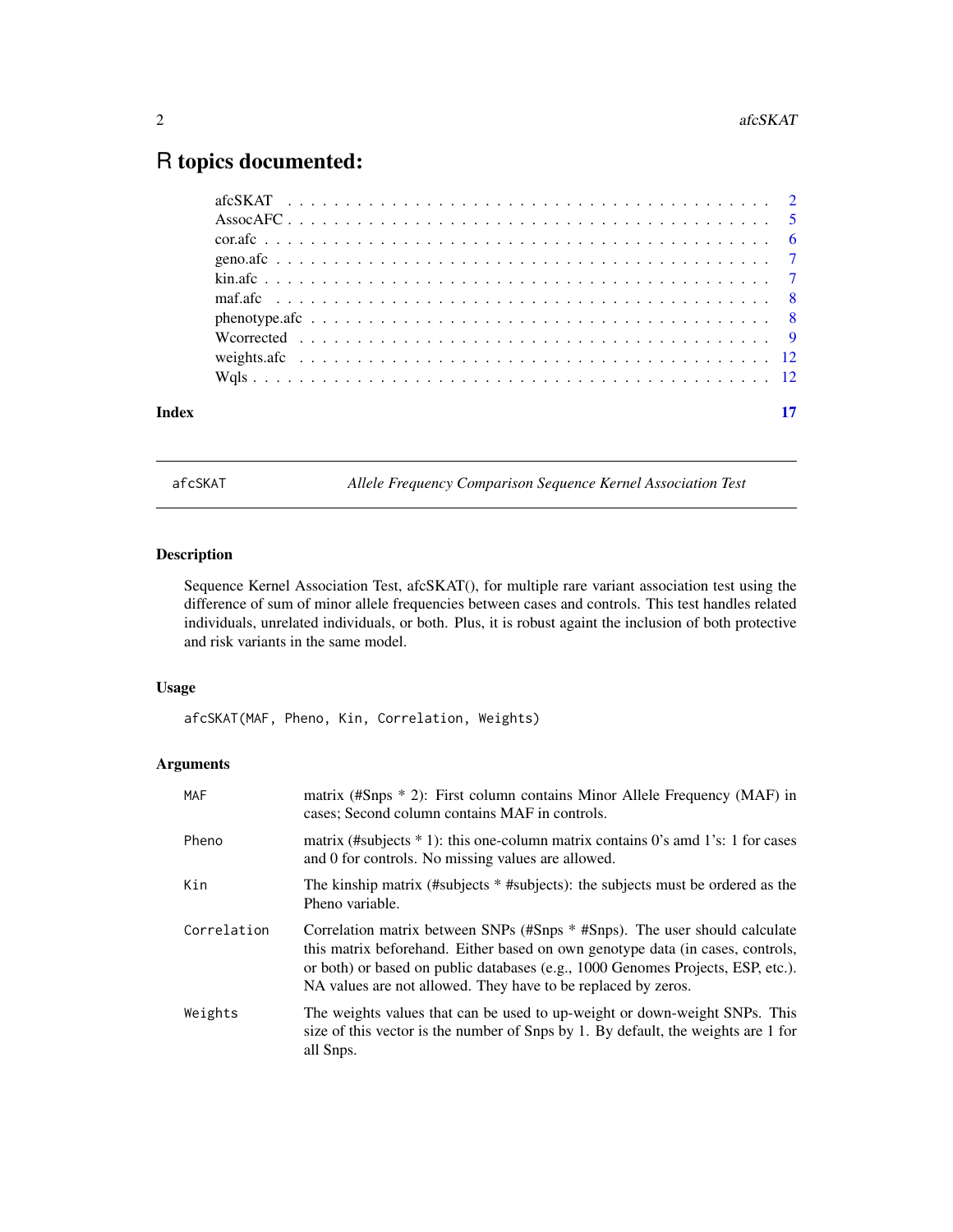# <span id="page-1-0"></span>R topics documented:

| Index |                                                                                                          |  |  |  |  |  |  |  |  |  |  |  |  |  |  |  |  |  |  |  |
|-------|----------------------------------------------------------------------------------------------------------|--|--|--|--|--|--|--|--|--|--|--|--|--|--|--|--|--|--|--|
|       |                                                                                                          |  |  |  |  |  |  |  |  |  |  |  |  |  |  |  |  |  |  |  |
|       |                                                                                                          |  |  |  |  |  |  |  |  |  |  |  |  |  |  |  |  |  |  |  |
|       | We orrected $\ldots \ldots \ldots \ldots \ldots \ldots \ldots \ldots \ldots \ldots \ldots \ldots \ldots$ |  |  |  |  |  |  |  |  |  |  |  |  |  |  |  |  |  |  |  |
|       |                                                                                                          |  |  |  |  |  |  |  |  |  |  |  |  |  |  |  |  |  |  |  |
|       |                                                                                                          |  |  |  |  |  |  |  |  |  |  |  |  |  |  |  |  |  |  |  |
|       |                                                                                                          |  |  |  |  |  |  |  |  |  |  |  |  |  |  |  |  |  |  |  |
|       |                                                                                                          |  |  |  |  |  |  |  |  |  |  |  |  |  |  |  |  |  |  |  |
|       |                                                                                                          |  |  |  |  |  |  |  |  |  |  |  |  |  |  |  |  |  |  |  |
|       |                                                                                                          |  |  |  |  |  |  |  |  |  |  |  |  |  |  |  |  |  |  |  |
|       |                                                                                                          |  |  |  |  |  |  |  |  |  |  |  |  |  |  |  |  |  |  |  |

<span id="page-1-1"></span>afcSKAT *Allele Frequency Comparison Sequence Kernel Association Test*

# Description

Sequence Kernel Association Test, afcSKAT(), for multiple rare variant association test using the difference of sum of minor allele frequencies between cases and controls. This test handles related individuals, unrelated individuals, or both. Plus, it is robust againt the inclusion of both protective and risk variants in the same model.

# Usage

afcSKAT(MAF, Pheno, Kin, Correlation, Weights)

# Arguments

| <b>MAF</b>  | matrix (#Snps $*$ 2): First column contains Minor Allele Frequency (MAF) in<br>cases; Second column contains MAF in controls.                                                                                                                                                                                    |
|-------------|------------------------------------------------------------------------------------------------------------------------------------------------------------------------------------------------------------------------------------------------------------------------------------------------------------------|
| Pheno       | matrix (#subjects $*$ 1): this one-column matrix contains 0's amd 1's: 1 for cases<br>and 0 for controls. No missing values are allowed.                                                                                                                                                                         |
| Kin         | The kinship matrix (#subjects * #subjects): the subjects must be ordered as the<br>Pheno variable.                                                                                                                                                                                                               |
| Correlation | Correlation matrix between SNPs (#Snps * #Snps). The user should calculate<br>this matrix beforehand. Either based on own genotype data (in cases, controls,<br>or both) or based on public databases (e.g., 1000 Genomes Projects, ESP, etc.).<br>NA values are not allowed. They have to be replaced by zeros. |
| Weights     | The weights values that can be used to up-weight or down-weight SNPs. This<br>size of this vector is the number of Snps by 1. By default, the weights are 1 for<br>all Snps.                                                                                                                                     |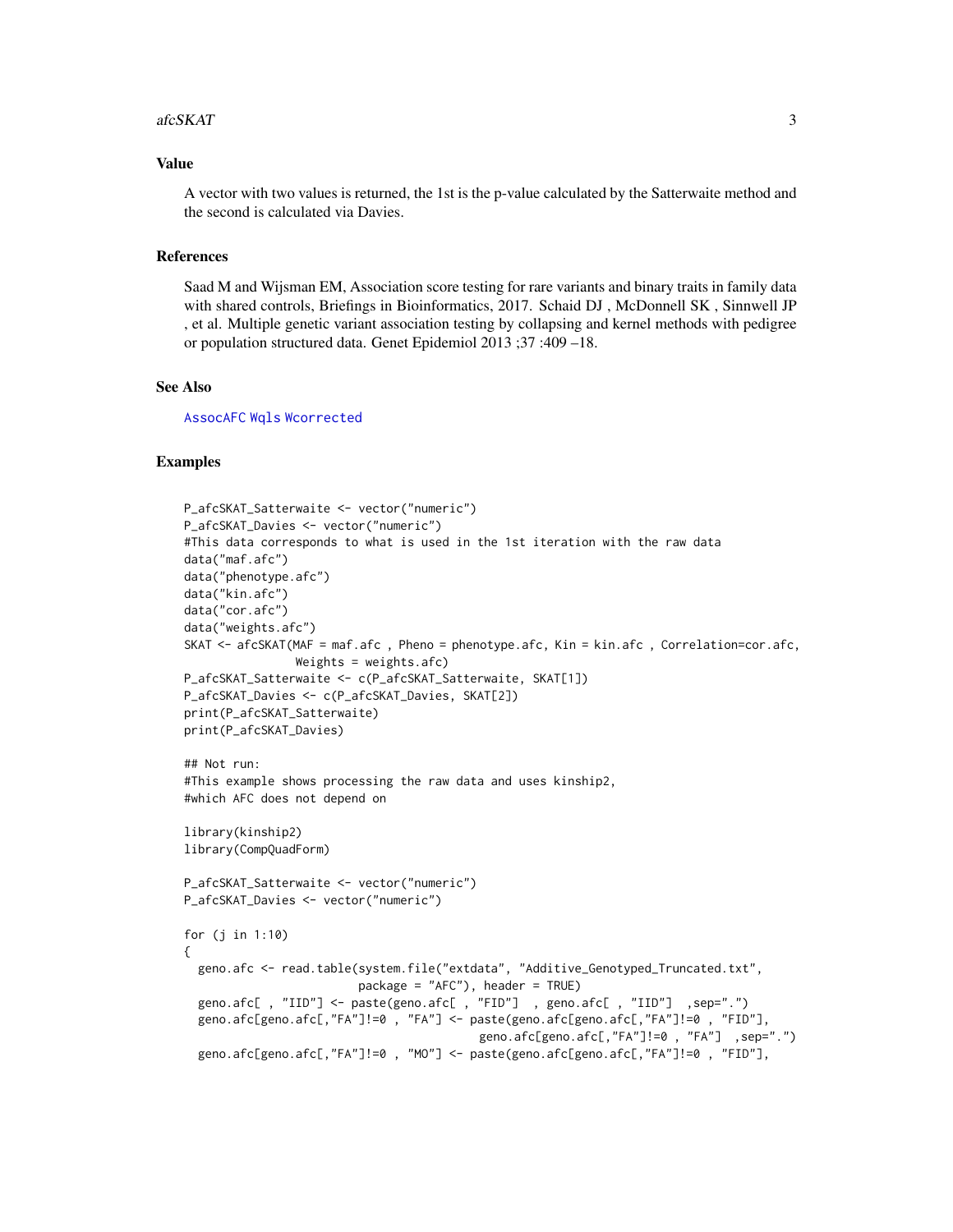#### <span id="page-2-0"></span> $afcSKAT$  3

#### Value

A vector with two values is returned, the 1st is the p-value calculated by the Satterwaite method and the second is calculated via Davies.

# References

Saad M and Wijsman EM, Association score testing for rare variants and binary traits in family data with shared controls, Briefings in Bioinformatics, 2017. Schaid DJ , McDonnell SK , Sinnwell JP , et al. Multiple genetic variant association testing by collapsing and kernel methods with pedigree or population structured data. Genet Epidemiol 2013 ;37 :409 –18.

#### See Also

[AssocAFC](#page-4-1) [Wqls](#page-11-1) [Wcorrected](#page-8-1)

# Examples

```
P_afcSKAT_Satterwaite <- vector("numeric")
P_afcSKAT_Davies <- vector("numeric")
#This data corresponds to what is used in the 1st iteration with the raw data
data("maf.afc")
data("phenotype.afc")
data("kin.afc")
data("cor.afc")
data("weights.afc")
SKAT <- afcSKAT(MAF = maf.afc , Pheno = phenotype.afc, Kin = kin.afc , Correlation=cor.afc,
                Weights = weights.afc)
P_afcSKAT_Satterwaite <- c(P_afcSKAT_Satterwaite, SKAT[1])
P_afcSKAT_Davies <- c(P_afcSKAT_Davies, SKAT[2])
print(P_afcSKAT_Satterwaite)
print(P_afcSKAT_Davies)
## Not run:
#This example shows processing the raw data and uses kinship2,
#which AFC does not depend on
library(kinship2)
library(CompQuadForm)
P_afcSKAT_Satterwaite <- vector("numeric")
P_afcSKAT_Davies <- vector("numeric")
for (j in 1:10)
{
 geno.afc <- read.table(system.file("extdata", "Additive_Genotyped_Truncated.txt",
                         package = "AFC"), header = TRUE)
 geno.afc[ , "IID"] <- paste(geno.afc[ , "FID"] , geno.afc[ , "IID"] ,sep=".")
 geno.afc[geno.afc[,"FA"]!=0 , "FA"] <- paste(geno.afc[geno.afc[,"FA"]!=0 , "FID"],
                                          geno.afc[geno.afc[,"FA"]!=0 , "FA"] ,sep=".")
 geno.afc[geno.afc[,"FA"]!=0 , "MO"] <- paste(geno.afc[geno.afc[,"FA"]!=0 , "FID"],
```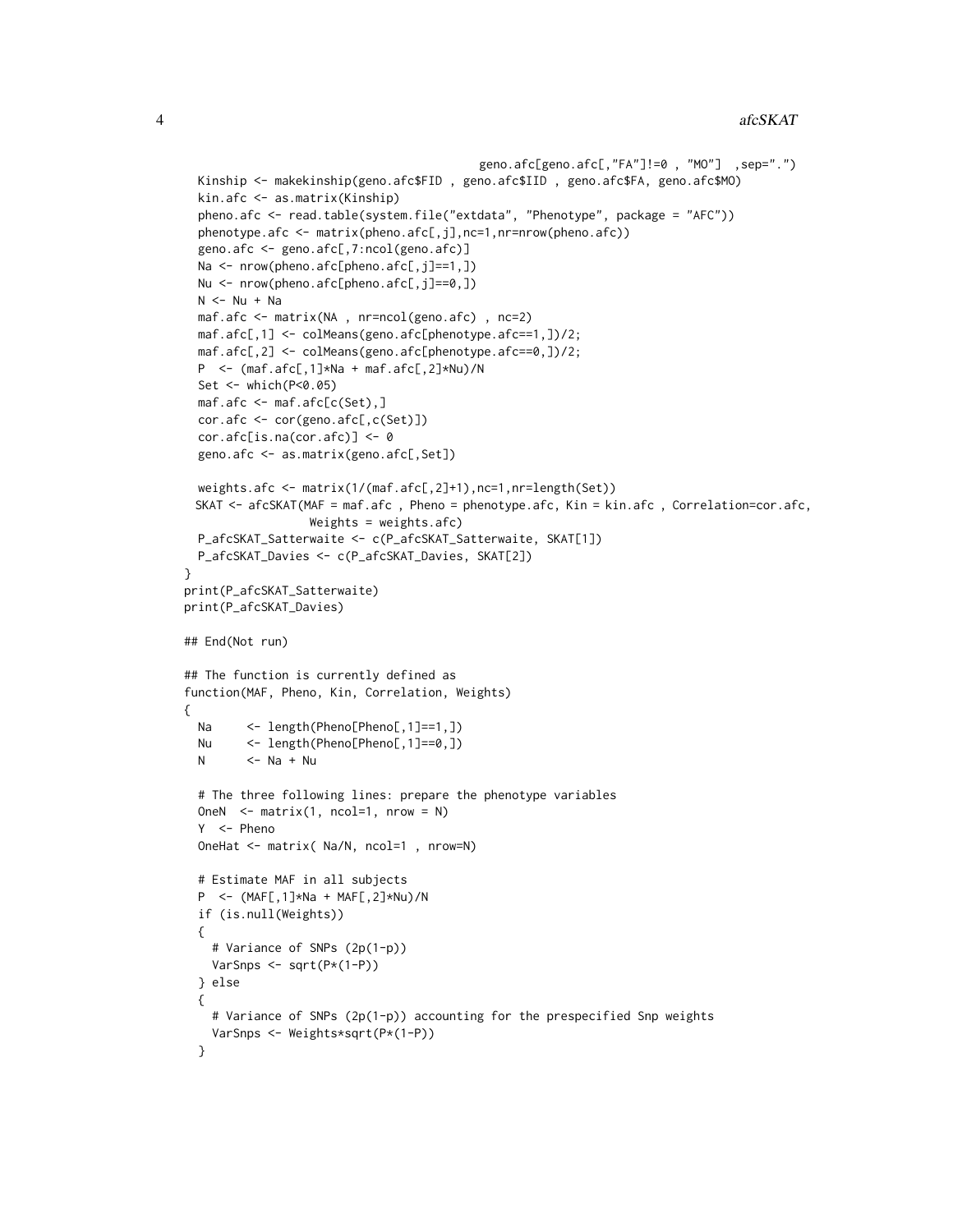```
geno.afc[geno.afc[,"FA"]!=0 , "MO"] ,sep=".")
 Kinship <- makekinship(geno.afc$FID , geno.afc$IID , geno.afc$FA, geno.afc$MO)
 kin.afc <- as.matrix(Kinship)
 pheno.afc <- read.table(system.file("extdata", "Phenotype", package = "AFC"))
 phenotype.afc <- matrix(pheno.afc[,j],nc=1,nr=nrow(pheno.afc))
 geno.afc <- geno.afc[,7:ncol(geno.afc)]
 Na <- nrow(pheno.afc[pheno.afc[,j]==1,])
 Nu <- nrow(pheno.afc[pheno.afc[,j]==0,])
 N < - Nu + Na
 maf.afc <- matrix(NA , nr=ncol(geno.afc) , nc=2)
 maf.afc[,1] <- colMeans(geno.afc[phenotype.afc==1,])/2;
 maf.afc[,2] <- colMeans(geno.afc[phenotype.afc==0,])/2;
 P <- (maf.afc[,1]*Na + maf.afc[,2]*Nu)/N
 Set <- which(P<0.05)
 maf.afc <- maf.afc[c(Set),]
 cor.afc <- cor(geno.afc[,c(Set)])
 cor.afc[is.na(cor.afc)] <- 0
 geno.afc <- as.matrix(geno.afc[,Set])
 weights.afc <- matrix(1/(maf.afc[,2]+1),nc=1,nr=length(Set))
 SKAT <- afcSKAT(MAF = maf.afc , Pheno = phenotype.afc, Kin = kin.afc , Correlation=cor.afc,
                  Weights = weights.afc)
 P_afcSKAT_Satterwaite <- c(P_afcSKAT_Satterwaite, SKAT[1])
 P_afcSKAT_Davies <- c(P_afcSKAT_Davies, SKAT[2])
}
print(P_afcSKAT_Satterwaite)
print(P_afcSKAT_Davies)
## End(Not run)
## The function is currently defined as
function(MAF, Pheno, Kin, Correlation, Weights)
{
 Na \leq length(Pheno[Pheno[,1]==1,])
 Nu <- length(Pheno[Pheno[,1]==0,])
 N \le -Na + Nu# The three following lines: prepare the phenotype variables
 OneN \leq matrix(1, ncol=1, nrow = N)
 Y <- Pheno
 OneHat <- matrix( Na/N, ncol=1 , nrow=N)
 # Estimate MAF in all subjects
 P <- (MAF[,1]*Na + MAF[,2]*Nu)/N
 if (is.null(Weights))
 {
    # Variance of SNPs (2p(1-p))
   VarSnps <- sqrt(P*(1-P))
 } else
 {
    # Variance of SNPs (2p(1-p)) accounting for the prespecified Snp weights
   VarSnps <- Weights*sqrt(P*(1-P))
 }
```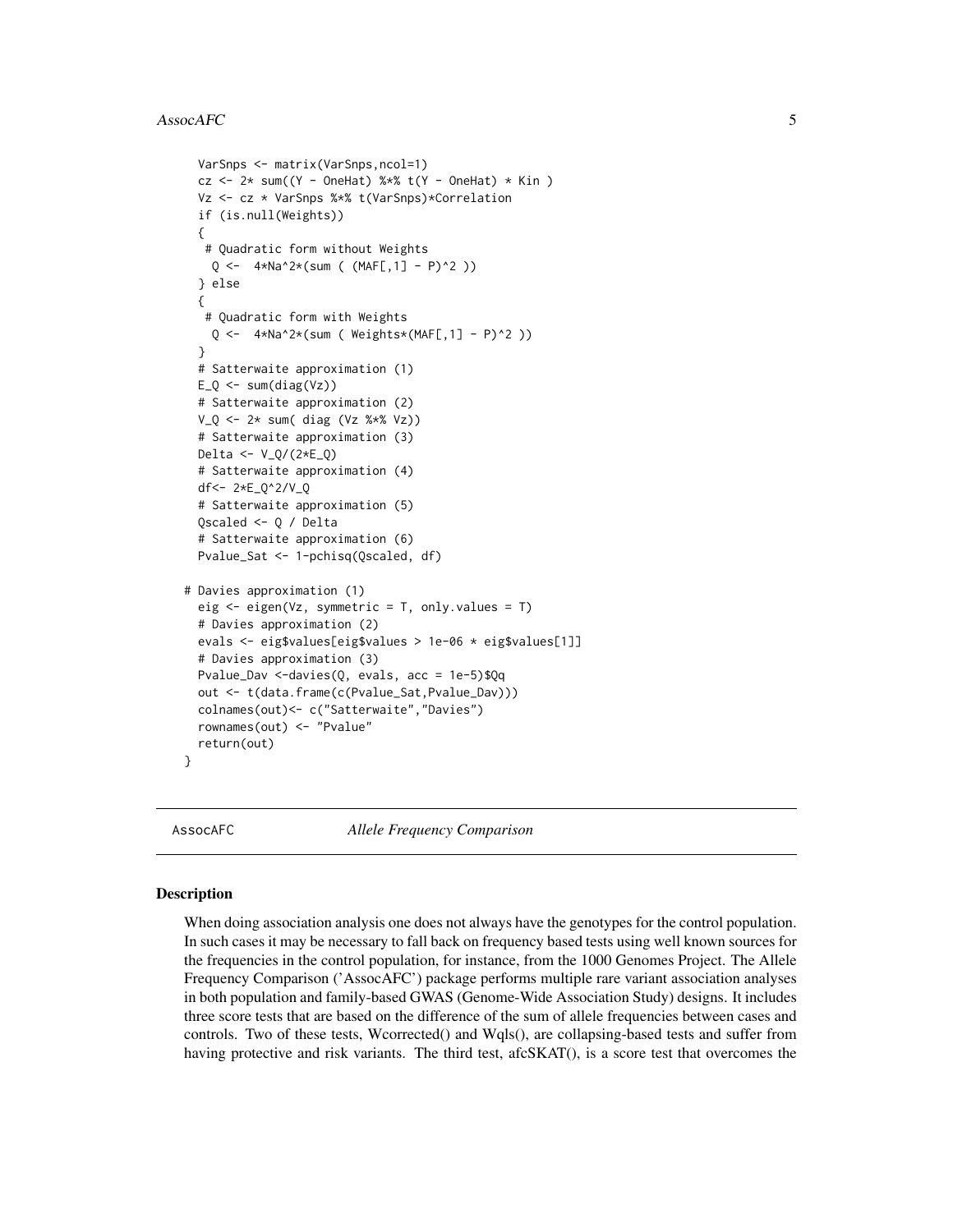```
VarSnps <- matrix(VarSnps,ncol=1)
 cz <- 2* sum((Y - OneHat) %*% t(Y - OneHat) * Kin )
 Vz <- cz * VarSnps %*% t(VarSnps)*Correlation
 if (is.null(Weights))
 {
   # Quadratic form without Weights
    Q \leftarrow 4*Na^2*(sum ( (MAF[,1] - P)^2 ))
 } else
 {
  # Quadratic form with Weights
    Q \leftarrow 4*Na^2*(sum ( Weights*(MAF[,1] - P)^2 ))
 }
 # Satterwaite approximation (1)
 E_Q \leftarrow \text{sum(diag(Vz)})# Satterwaite approximation (2)
 V_Q \leftarrow 2* sum(diag (Vz %*)V_Z)# Satterwaite approximation (3)
 Delta <- V_Q/(2*E_Q)
 # Satterwaite approximation (4)
 df<- 2*E_Q^2/V_Q
 # Satterwaite approximation (5)
 Qscaled <- Q / Delta
 # Satterwaite approximation (6)
 Pvalue_Sat <- 1-pchisq(Qscaled, df)
# Davies approximation (1)
 eig \leq eigen(Vz, symmetric = T, only.values = T)
 # Davies approximation (2)
 evals <- eig$values[eig$values > 1e-06 * eig$values[1]]
 # Davies approximation (3)
 Pvalue_Dav <-davies(Q, evals, acc = 1e-5)$Qq
 out <- t(data.frame(c(Pvalue_Sat,Pvalue_Dav)))
 colnames(out)<- c("Satterwaite","Davies")
 rownames(out) <- "Pvalue"
 return(out)
}
```
<span id="page-4-1"></span>

AssocAFC *Allele Frequency Comparison*

#### **Description**

When doing association analysis one does not always have the genotypes for the control population. In such cases it may be necessary to fall back on frequency based tests using well known sources for the frequencies in the control population, for instance, from the 1000 Genomes Project. The Allele Frequency Comparison ('AssocAFC') package performs multiple rare variant association analyses in both population and family-based GWAS (Genome-Wide Association Study) designs. It includes three score tests that are based on the difference of the sum of allele frequencies between cases and controls. Two of these tests, Wcorrected() and Wqls(), are collapsing-based tests and suffer from having protective and risk variants. The third test, afcSKAT(), is a score test that overcomes the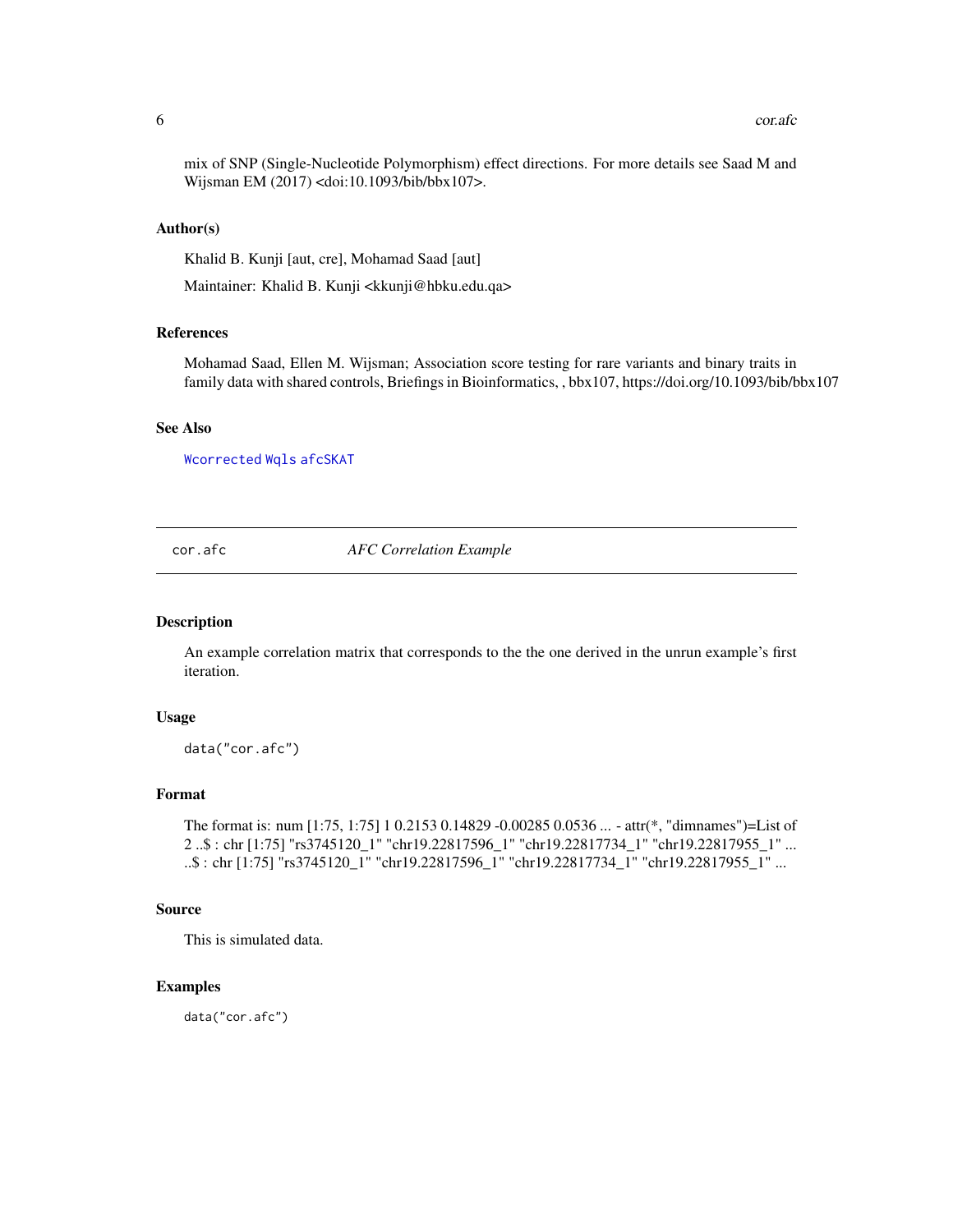<span id="page-5-0"></span>mix of SNP (Single-Nucleotide Polymorphism) effect directions. For more details see Saad M and Wijsman EM (2017) <doi:10.1093/bib/bbx107>.

#### Author(s)

Khalid B. Kunji [aut, cre], Mohamad Saad [aut]

Maintainer: Khalid B. Kunji <kkunji@hbku.edu.qa>

#### References

Mohamad Saad, Ellen M. Wijsman; Association score testing for rare variants and binary traits in family data with shared controls, Briefings in Bioinformatics, , bbx107, https://doi.org/10.1093/bib/bbx107

# See Also

[Wcorrected](#page-8-1) [Wqls](#page-11-1) [afcSKAT](#page-1-1)

cor.afc *AFC Correlation Example*

#### Description

An example correlation matrix that corresponds to the the one derived in the unrun example's first iteration.

#### Usage

data("cor.afc")

# Format

```
The format is: num [1:75, 1:75] 1 0.2153 0.14829 -0.00285 0.0536 ... - attr(*, "dimnames")=List of
2 ..$ : chr [1:75] "rs3745120_1" "chr19.22817596_1" "chr19.22817734_1" "chr19.22817955_1" ...
..$ : chr [1:75] "rs3745120_1" "chr19.22817596_1" "chr19.22817734_1" "chr19.22817955_1" ...
```
#### Source

This is simulated data.

# Examples

data("cor.afc")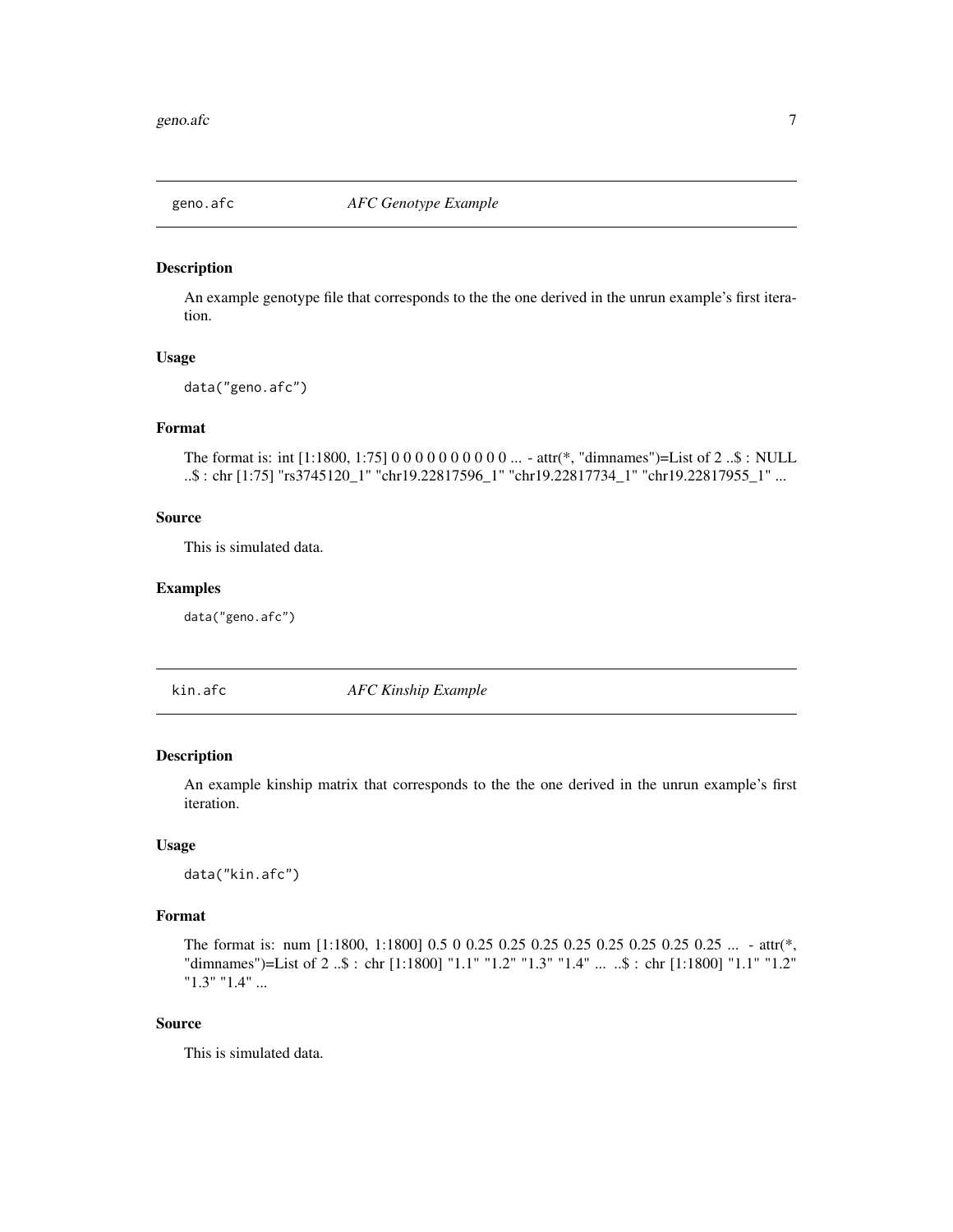<span id="page-6-0"></span>

#### Description

An example genotype file that corresponds to the the one derived in the unrun example's first iteration.

# Usage

data("geno.afc")

# Format

```
The format is: int [1:1800, 1:75] 0 0 0 0 0 0 0 0 0 0 ... - attr(*, "dimnames")=List of 2 ..$ : NULL
..$ : chr [1:75] "rs3745120_1" "chr19.22817596_1" "chr19.22817734_1" "chr19.22817955_1" ...
```
#### Source

This is simulated data.

# Examples

data("geno.afc")

kin.afc *AFC Kinship Example*

#### Description

An example kinship matrix that corresponds to the the one derived in the unrun example's first iteration.

#### Usage

data("kin.afc")

# Format

The format is: num [1:1800, 1:1800] 0.5 0 0.25 0.25 0.25 0.25 0.25 0.25 0.25 0.25 ... - attr(\*, "dimnames")=List of 2 ..\$ : chr [1:1800] "1.1" "1.2" "1.3" "1.4" ... ..\$ : chr [1:1800] "1.1" "1.2" "1.3" "1.4" ...

# Source

This is simulated data.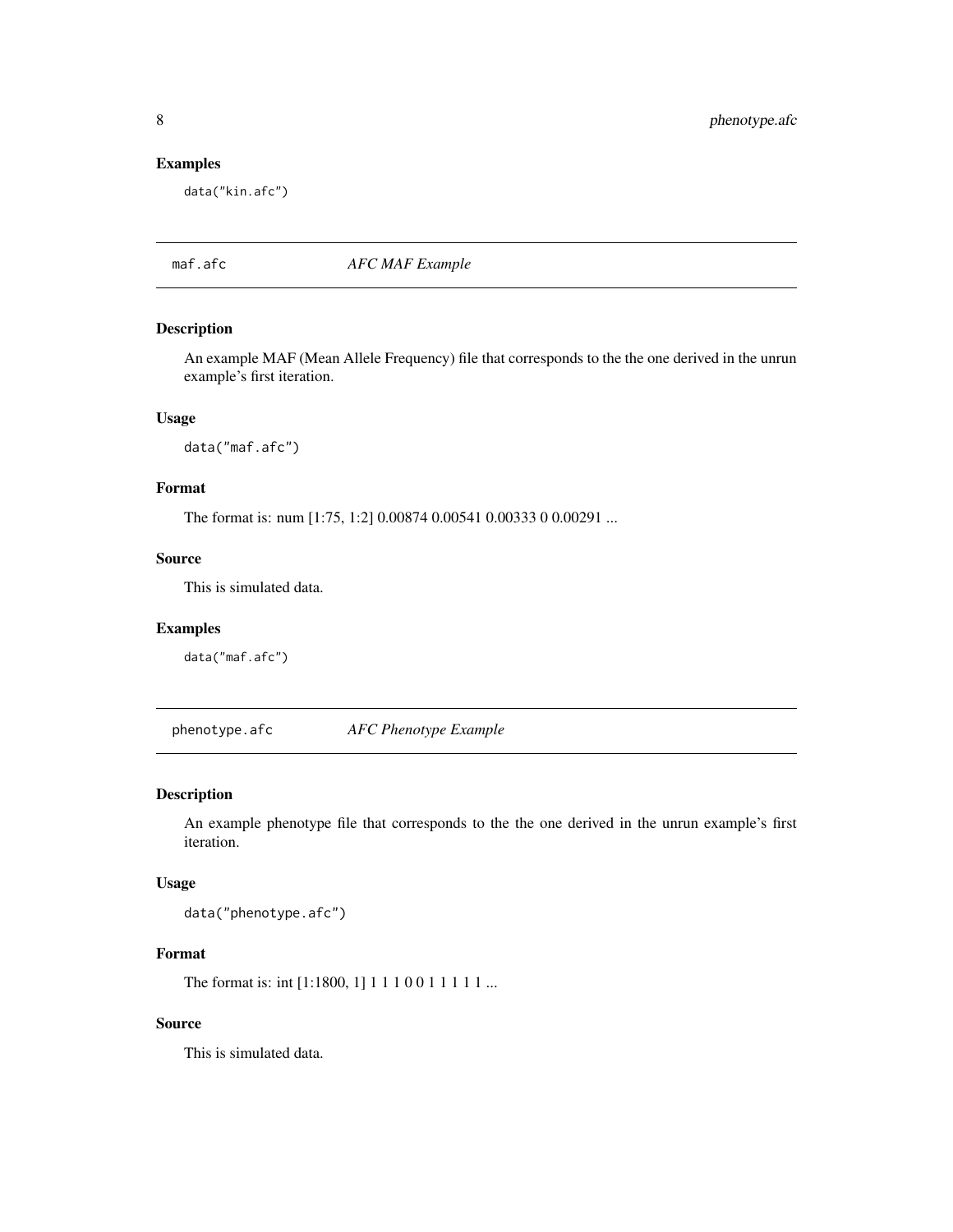# Examples

data("kin.afc")

maf.afc *AFC MAF Example*

#### Description

An example MAF (Mean Allele Frequency) file that corresponds to the the one derived in the unrun example's first iteration.

# Usage

data("maf.afc")

# Format

The format is: num [1:75, 1:2] 0.00874 0.00541 0.00333 0 0.00291 ...

#### Source

This is simulated data.

#### Examples

data("maf.afc")

phenotype.afc *AFC Phenotype Example*

# Description

An example phenotype file that corresponds to the the one derived in the unrun example's first iteration.

#### Usage

data("phenotype.afc")

# Format

The format is: int [1:1800, 1] 1 1 1 0 0 1 1 1 1 1 ...

# Source

This is simulated data.

<span id="page-7-0"></span>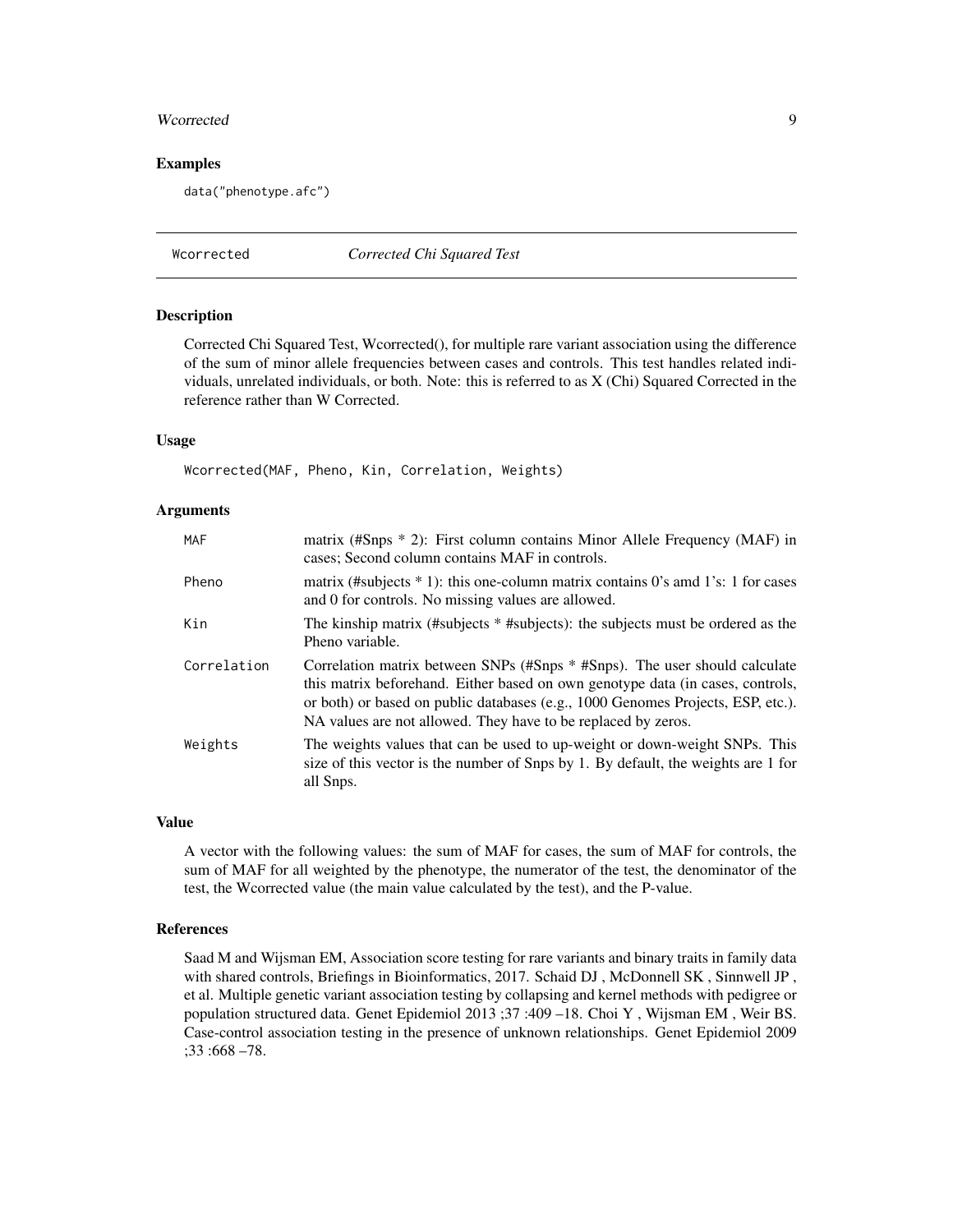#### <span id="page-8-0"></span>Woorrected 99

#### Examples

data("phenotype.afc")

<span id="page-8-1"></span>Wcorrected *Corrected Chi Squared Test*

#### Description

Corrected Chi Squared Test, Wcorrected(), for multiple rare variant association using the difference of the sum of minor allele frequencies between cases and controls. This test handles related individuals, unrelated individuals, or both. Note: this is referred to as X (Chi) Squared Corrected in the reference rather than W Corrected.

# Usage

Wcorrected(MAF, Pheno, Kin, Correlation, Weights)

#### Arguments

| MAF         | matrix (#Snps $*$ 2): First column contains Minor Allele Frequency (MAF) in<br>cases; Second column contains MAF in controls.                                                                                                                                                                                    |
|-------------|------------------------------------------------------------------------------------------------------------------------------------------------------------------------------------------------------------------------------------------------------------------------------------------------------------------|
| Pheno       | matrix (#subjects $* 1$ ): this one-column matrix contains 0's amd 1's: 1 for cases<br>and 0 for controls. No missing values are allowed.                                                                                                                                                                        |
| Kin         | The kinship matrix (#subjects * #subjects): the subjects must be ordered as the<br>Pheno variable.                                                                                                                                                                                                               |
| Correlation | Correlation matrix between SNPs (#Snps * #Snps). The user should calculate<br>this matrix beforehand. Either based on own genotype data (in cases, controls,<br>or both) or based on public databases (e.g., 1000 Genomes Projects, ESP, etc.).<br>NA values are not allowed. They have to be replaced by zeros. |
| Weights     | The weights values that can be used to up-weight or down-weight SNPs. This<br>size of this vector is the number of Snps by 1. By default, the weights are 1 for<br>all Snps.                                                                                                                                     |

# Value

A vector with the following values: the sum of MAF for cases, the sum of MAF for controls, the sum of MAF for all weighted by the phenotype, the numerator of the test, the denominator of the test, the Wcorrected value (the main value calculated by the test), and the P-value.

# References

Saad M and Wijsman EM, Association score testing for rare variants and binary traits in family data with shared controls, Briefings in Bioinformatics, 2017. Schaid DJ , McDonnell SK , Sinnwell JP , et al. Multiple genetic variant association testing by collapsing and kernel methods with pedigree or population structured data. Genet Epidemiol 2013 ;37 :409 –18. Choi Y , Wijsman EM , Weir BS. Case-control association testing in the presence of unknown relationships. Genet Epidemiol 2009 ;33 :668 –78.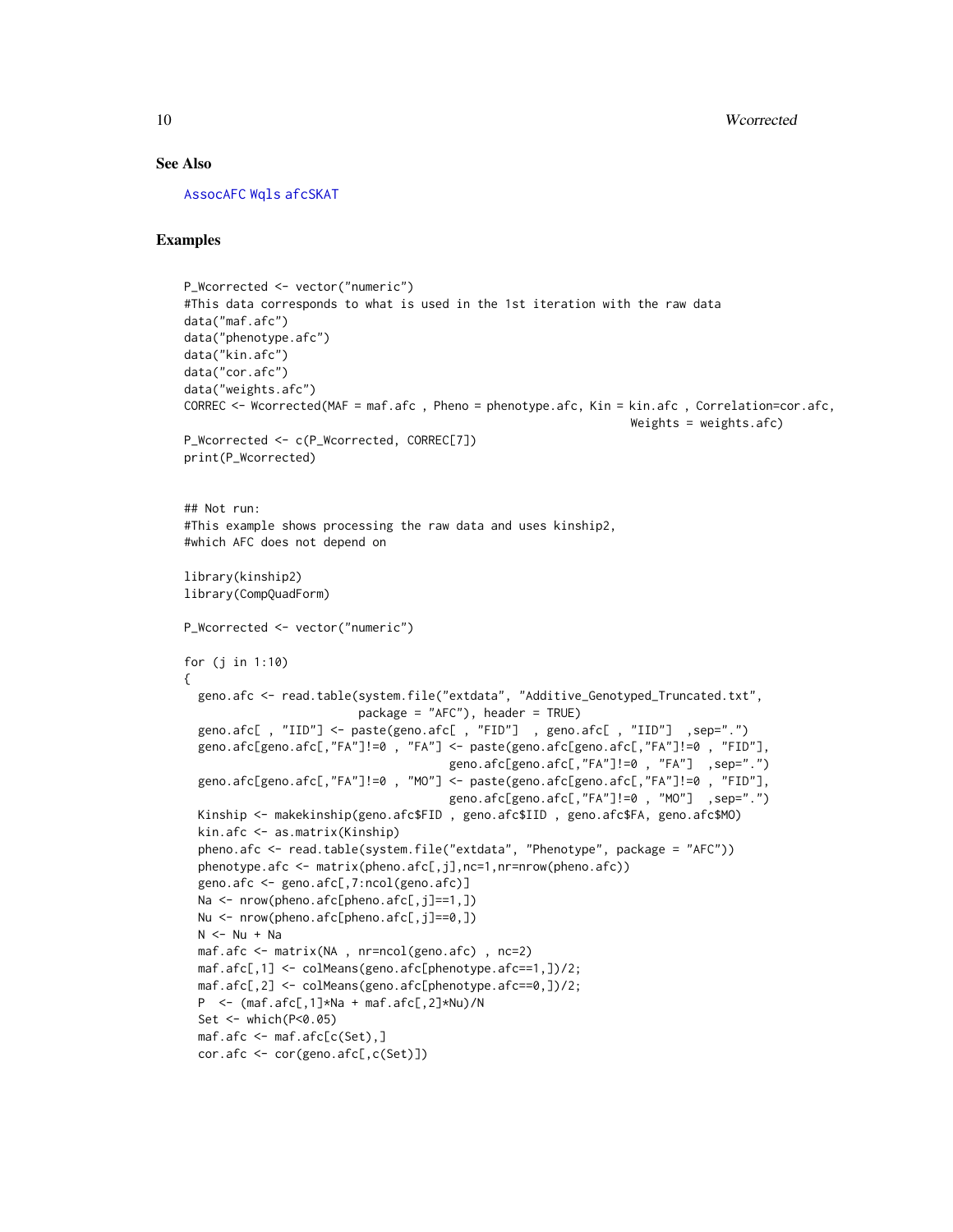#### See Also

[AssocAFC](#page-4-1) [Wqls](#page-11-1) [afcSKAT](#page-1-1)

# Examples

```
P_Wcorrected <- vector("numeric")
#This data corresponds to what is used in the 1st iteration with the raw data
data("maf.afc")
data("phenotype.afc")
data("kin.afc")
data("cor.afc")
data("weights.afc")
CORREC <- Wcorrected(MAF = maf.afc , Pheno = phenotype.afc, Kin = kin.afc , Correlation=cor.afc,
                                                                Weights = weights.afc)
P_Wcorrected <- c(P_Wcorrected, CORREC[7])
print(P_Wcorrected)
## Not run:
#This example shows processing the raw data and uses kinship2,
#which AFC does not depend on
library(kinship2)
library(CompQuadForm)
P_Wcorrected <- vector("numeric")
for (j in 1:10)
{
 geno.afc <- read.table(system.file("extdata", "Additive_Genotyped_Truncated.txt",
                         package = "AFC"), header = TRUE)
 geno.afc[ , "IID"] <- paste(geno.afc[ , "FID"] , geno.afc[ , "IID"] ,sep=".")
 geno.afc[geno.afc[,"FA"]!=0 , "FA"] <- paste(geno.afc[geno.afc[,"FA"]!=0 , "FID"],
                                      geno.afc[geno.afc[,"FA"]!=0 , "FA"] ,sep=".")
 geno.afc[geno.afc[,"FA"]!=0 , "MO"] <- paste(geno.afc[geno.afc[,"FA"]!=0 , "FID"],
                                      geno.afc[geno.afc[,"FA"]!=0 , "MO"] ,sep=".")
 Kinship <- makekinship(geno.afc$FID , geno.afc$IID , geno.afc$FA, geno.afc$MO)
 kin.afc <- as.matrix(Kinship)
 pheno.afc <- read.table(system.file("extdata", "Phenotype", package = "AFC"))
 phenotype.afc <- matrix(pheno.afc[,j],nc=1,nr=nrow(pheno.afc))
 geno.afc <- geno.afc[,7:ncol(geno.afc)]
 Na <- nrow(pheno.afc[pheno.afc[,j]==1,])
 Nu <- nrow(pheno.afc[pheno.afc[,j]==0,])
 N < - Nu + Na
 maf.afc <- matrix(NA , nr=ncol(geno.afc) , nc=2)
 maf.afc[,1] <- colMeans(geno.afc[phenotype.afc==1,])/2;
 maf.afc[,2] <- colMeans(geno.afc[phenotype.afc==0,])/2;
 P <- (maf.afc[,1]*Na + maf.afc[,2]*Nu)/N
 Set <- which(P<0.05)
 maf.afc <- maf.afc[c(Set),]
 cor.afc <- cor(geno.afc[,c(Set)])
```
<span id="page-9-0"></span>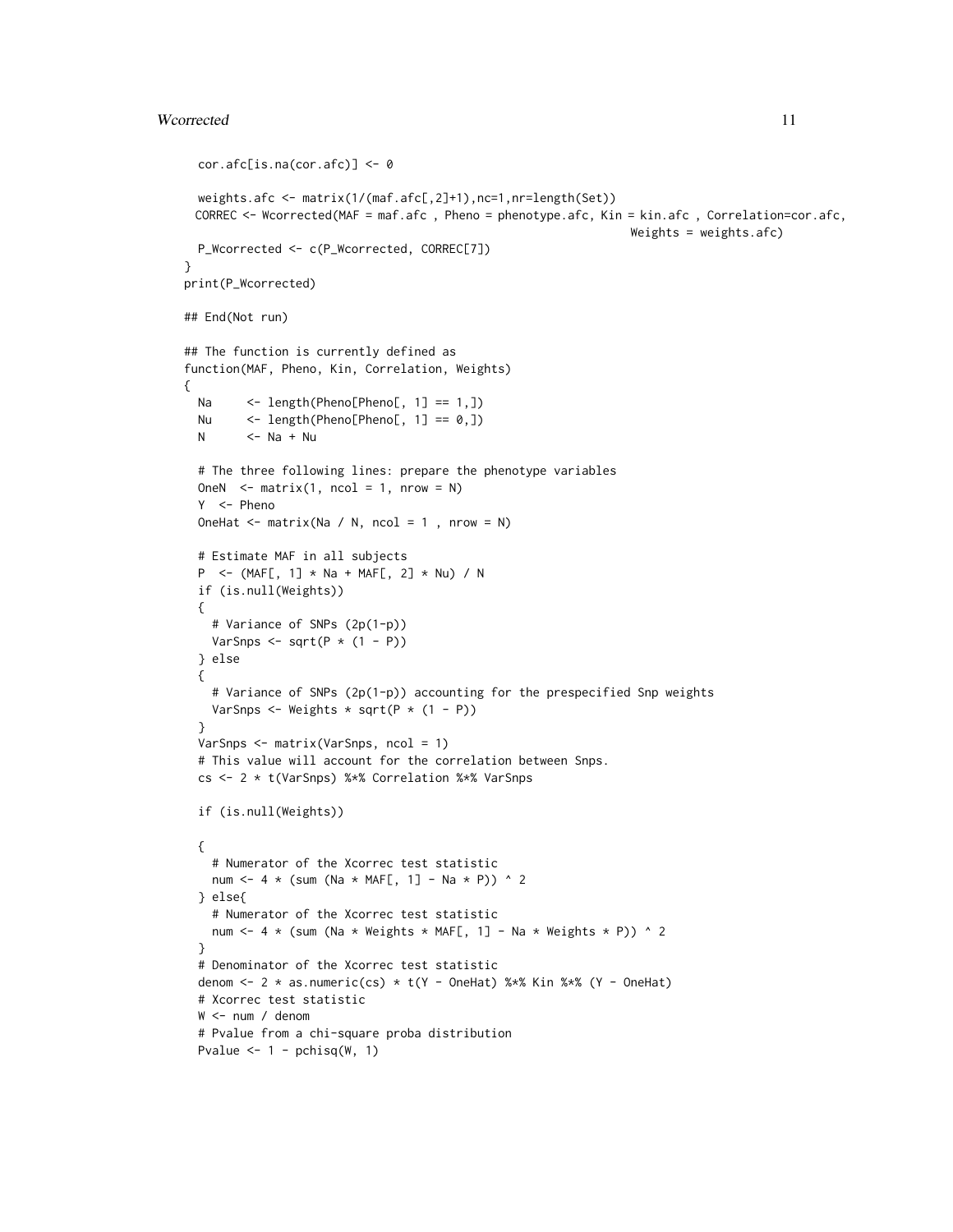```
cor.afc[is.na(cor.afc)] <- 0
 weights.afc <- matrix(1/(maf.afc[,2]+1),nc=1,nr=length(Set))
 CORREC <- Wcorrected(MAF = maf.afc , Pheno = phenotype.afc, Kin = kin.afc , Correlation=cor.afc,
                                                                Weights = weights.afc)
 P_Wcorrected <- c(P_Wcorrected, CORREC[7])
}
print(P_Wcorrected)
## End(Not run)
## The function is currently defined as
function(MAF, Pheno, Kin, Correlation, Weights)
{
 Na <- length(Pheno[Pheno[, 1] == 1,])
 Nu <- length(Pheno[Pheno[, 1] == 0,])
 N \le -Na + Nu# The three following lines: prepare the phenotype variables
 OneN \le matrix(1, ncol = 1, nrow = N)
 Y <- Pheno
 OneHat \leq matrix(Na / N, ncol = 1, nrow = N)
 # Estimate MAF in all subjects
 P <- (MAF[, 1] * Na + MAF[, 2] * Nu) / Nif (is.null(Weights))
 {
   # Variance of SNPs (2p(1-p))
   VarSnps \leq sqrt(P \star (1 - P))
 } else
 {
   # Variance of SNPs (2p(1-p)) accounting for the prespecified Snp weights
   VarSnps \leq Weights \star sqrt(P \star (1 - P))
 }
 VarSnps <- matrix(VarSnps, ncol = 1)
 # This value will account for the correlation between Snps.
 cs <- 2 * t(VarSnps) %*% Correlation %*% VarSnps
 if (is.null(Weights))
 {
    # Numerator of the Xcorrec test statistic
   num <- 4 * (sum (Na * MAF[, 1] - Na * P)) ^ 2
 } else{
   # Numerator of the Xcorrec test statistic
   num <- 4 * (sum (Na * Weights * MAF[, 1] - Na * Weights * P)) ^ 2
 }
 # Denominator of the Xcorrec test statistic
 denom \leq 2 * as.numeric(cs) * t(Y - OneHat) %*% Kin %*% (Y - OneHat)
 # Xcorrec test statistic
 W <- num / denom
 # Pvalue from a chi-square proba distribution
 Pvalue <-1 - pchisq(W, 1)
```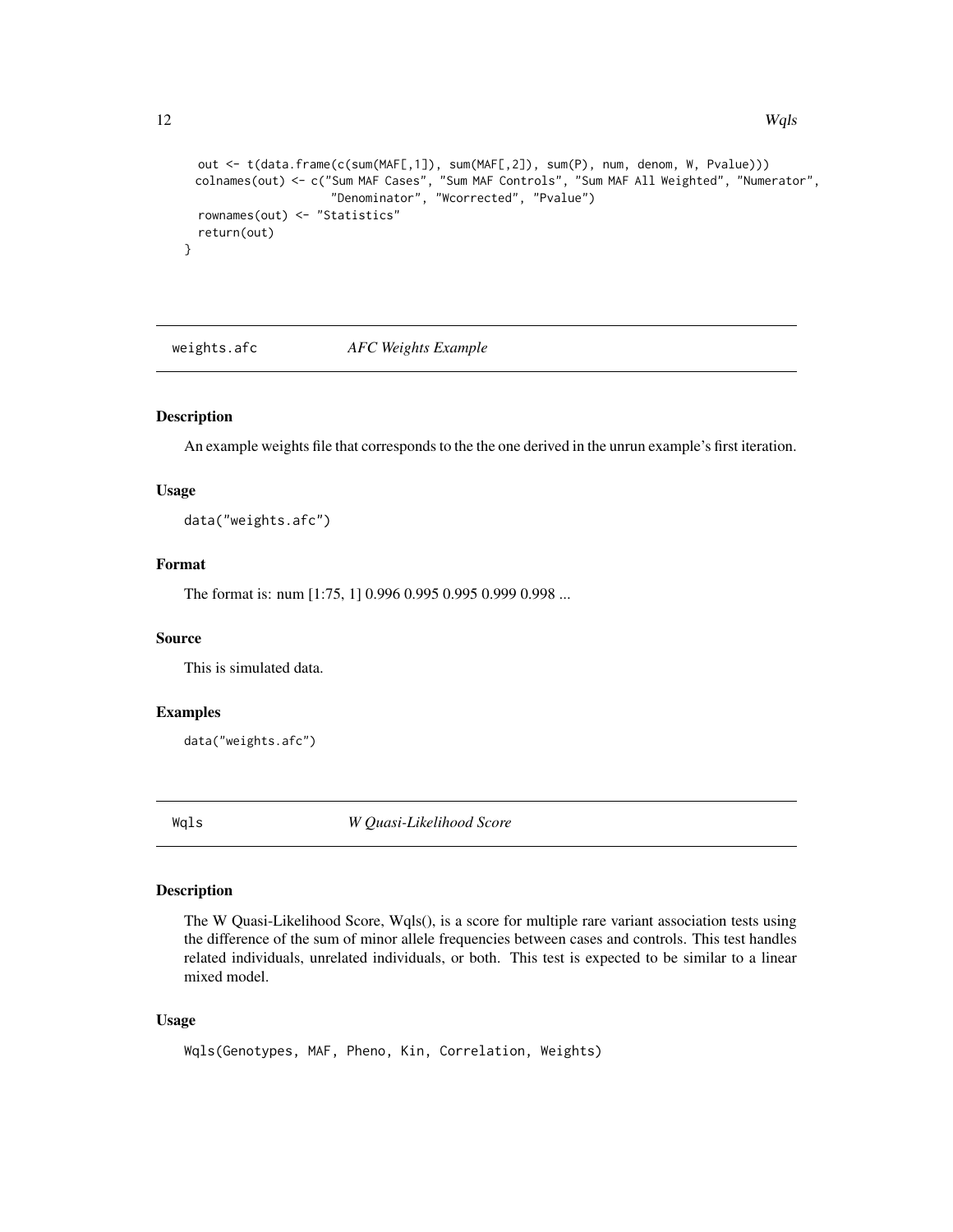```
out <- t(data.frame(c(sum(MAF[,1]), sum(MAF[,2]), sum(P), num, denom, W, Pvalue)))
colnames(out) <- c("Sum MAF Cases", "Sum MAF Controls", "Sum MAF All Weighted", "Numerator",
```

```
"Denominator", "Wcorrected", "Pvalue")
 rownames(out) <- "Statistics"
 return(out)
}
```
weights.afc *AFC Weights Example*

#### Description

An example weights file that corresponds to the the one derived in the unrun example's first iteration.

#### Usage

data("weights.afc")

# Format

The format is: num [1:75, 1] 0.996 0.995 0.995 0.999 0.998 ...

# Source

This is simulated data.

#### Examples

```
data("weights.afc")
```
<span id="page-11-1"></span>Wqls *W Quasi-Likelihood Score*

#### Description

The W Quasi-Likelihood Score, Wqls(), is a score for multiple rare variant association tests using the difference of the sum of minor allele frequencies between cases and controls. This test handles related individuals, unrelated individuals, or both. This test is expected to be similar to a linear mixed model.

# Usage

```
Wqls(Genotypes, MAF, Pheno, Kin, Correlation, Weights)
```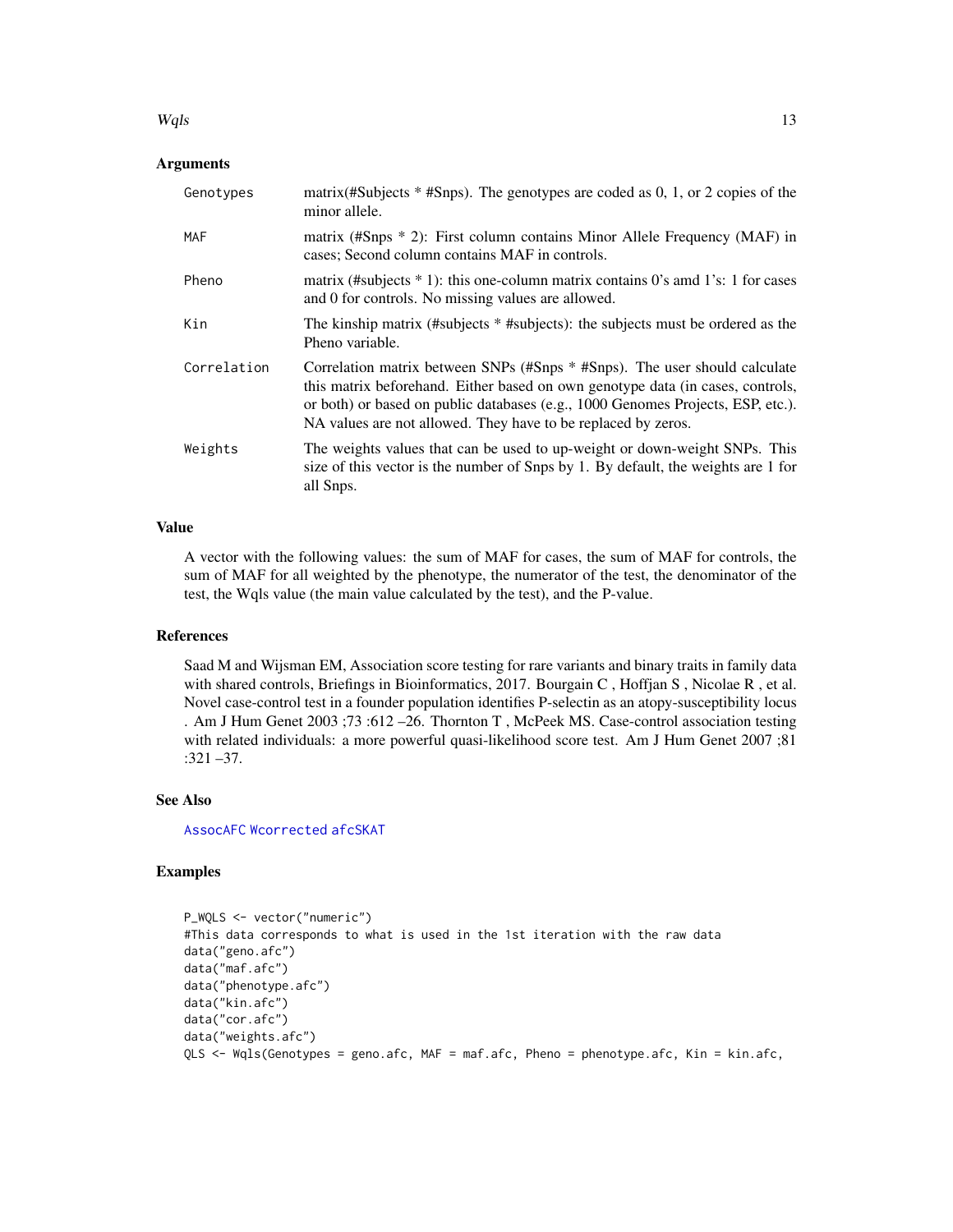#### <span id="page-12-0"></span> $Wqls$  13

# Arguments

| Genotypes   | matrix(#Subjects * #Snps). The genotypes are coded as 0, 1, or 2 copies of the<br>minor allele.                                                                                                                                                                                                                  |
|-------------|------------------------------------------------------------------------------------------------------------------------------------------------------------------------------------------------------------------------------------------------------------------------------------------------------------------|
| MAF         | matrix (#Snps * 2): First column contains Minor Allele Frequency (MAF) in<br>cases; Second column contains MAF in controls.                                                                                                                                                                                      |
| Pheno       | matrix (#subjects $*$ 1): this one-column matrix contains 0's amd 1's: 1 for cases<br>and 0 for controls. No missing values are allowed.                                                                                                                                                                         |
| Kin         | The kinship matrix (#subjects * #subjects): the subjects must be ordered as the<br>Pheno variable.                                                                                                                                                                                                               |
| Correlation | Correlation matrix between SNPs (#Snps * #Snps). The user should calculate<br>this matrix beforehand. Either based on own genotype data (in cases, controls,<br>or both) or based on public databases (e.g., 1000 Genomes Projects, ESP, etc.).<br>NA values are not allowed. They have to be replaced by zeros. |
| Weights     | The weights values that can be used to up-weight or down-weight SNPs. This<br>size of this vector is the number of Snps by 1. By default, the weights are 1 for<br>all Snps.                                                                                                                                     |

#### Value

A vector with the following values: the sum of MAF for cases, the sum of MAF for controls, the sum of MAF for all weighted by the phenotype, the numerator of the test, the denominator of the test, the Wqls value (the main value calculated by the test), and the P-value.

#### References

Saad M and Wijsman EM, Association score testing for rare variants and binary traits in family data with shared controls, Briefings in Bioinformatics, 2017. Bourgain C, Hoffjan S, Nicolae R, et al. Novel case-control test in a founder population identifies P-selectin as an atopy-susceptibility locus . Am J Hum Genet 2003 ;73 :612 –26. Thornton T , McPeek MS. Case-control association testing with related individuals: a more powerful quasi-likelihood score test. Am J Hum Genet 2007;81 :321 –37.

#### See Also

[AssocAFC](#page-4-1) [Wcorrected](#page-8-1) [afcSKAT](#page-1-1)

# Examples

```
P_WQLS <- vector("numeric")
#This data corresponds to what is used in the 1st iteration with the raw data
data("geno.afc")
data("maf.afc")
data("phenotype.afc")
data("kin.afc")
data("cor.afc")
data("weights.afc")
QLS <- Wqls(Genotypes = geno.afc, MAF = maf.afc, Pheno = phenotype.afc, Kin = kin.afc,
```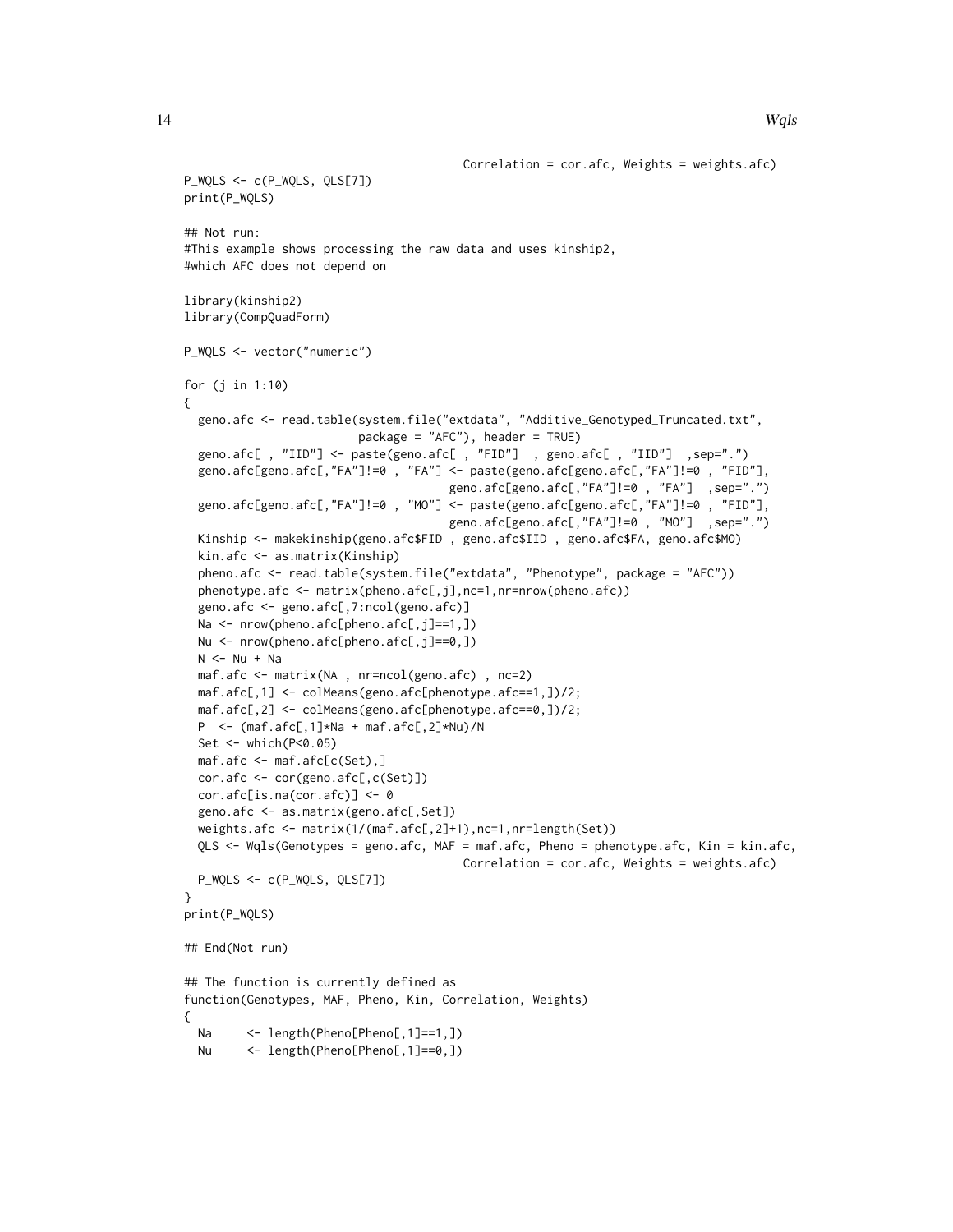```
Correlation = cor.afc, Weights = weights.afc)
P_WQLS <- c(P_WQLS, QLS[7])
print(P_WQLS)
## Not run:
#This example shows processing the raw data and uses kinship2,
#which AFC does not depend on
library(kinship2)
library(CompQuadForm)
P_WQLS <- vector("numeric")
for (j in 1:10)
{
 geno.afc <- read.table(system.file("extdata", "Additive_Genotyped_Truncated.txt",
                        package = "AFC"), header = TRUE)
 geno.afc[ , "IID"] <- paste(geno.afc[ , "FID"] , geno.afc[ , "IID"] ,sep=".")
 geno.afc[geno.afc[,"FA"]!=0 , "FA"] <- paste(geno.afc[geno.afc[,"FA"]!=0 , "FID"],
                                      geno.afc[geno.afc[,"FA"]!=0 , "FA"] ,sep=".")
 geno.afc[geno.afc[,"FA"]!=0 , "MO"] <- paste(geno.afc[geno.afc[,"FA"]!=0 , "FID"],
                                      geno.afc[geno.afc[,"FA"]!=0 , "MO"] ,sep=".")
 Kinship <- makekinship(geno.afc$FID , geno.afc$IID , geno.afc$FA, geno.afc$MO)
 kin.afc <- as.matrix(Kinship)
 pheno.afc <- read.table(system.file("extdata", "Phenotype", package = "AFC"))
 phenotype.afc <- matrix(pheno.afc[,j],nc=1,nr=nrow(pheno.afc))
 geno.afc <- geno.afc[,7:ncol(geno.afc)]
 Na <- nrow(pheno.afc[pheno.afc[,j]==1,])
 Nu <- nrow(pheno.afc[pheno.afc[,j]==0,])
 N < - Nu + Na
 maf.afc <- matrix(NA , nr=ncol(geno.afc) , nc=2)
 maf.afc[,1] <- colMeans(geno.afc[phenotype.afc==1,])/2;
 maf.afc[,2] <- colMeans(geno.afc[phenotype.afc==0,])/2;
 P <- (maf.afc[,1]*Na + maf.afc[,2]*Nu)/N
 Set <- which(P<0.05)
 maf.afc <- maf.afc[c(Set),]
 cor.afc <- cor(geno.afc[,c(Set)])
 cor.afc[is.na(cor.afc)] < -0geno.afc <- as.matrix(geno.afc[,Set])
 weights.afc <- matrix(1/(maf.afc[,2]+1),nc=1,nr=length(Set))
 QLS <- Wqls(Genotypes = geno.afc, MAF = maf.afc, Pheno = phenotype.afc, Kin = kin.afc,
                                        Correlation = cor.afc, Weights = weights.afc)
 P_WQLS <- c(P_WQLS, QLS[7])
}
print(P_WQLS)
## End(Not run)
## The function is currently defined as
function(Genotypes, MAF, Pheno, Kin, Correlation, Weights)
{
 Na <- length(Pheno[Pheno[,1]==1,])
 Nu <- length(Pheno[Pheno[,1]==0,])
```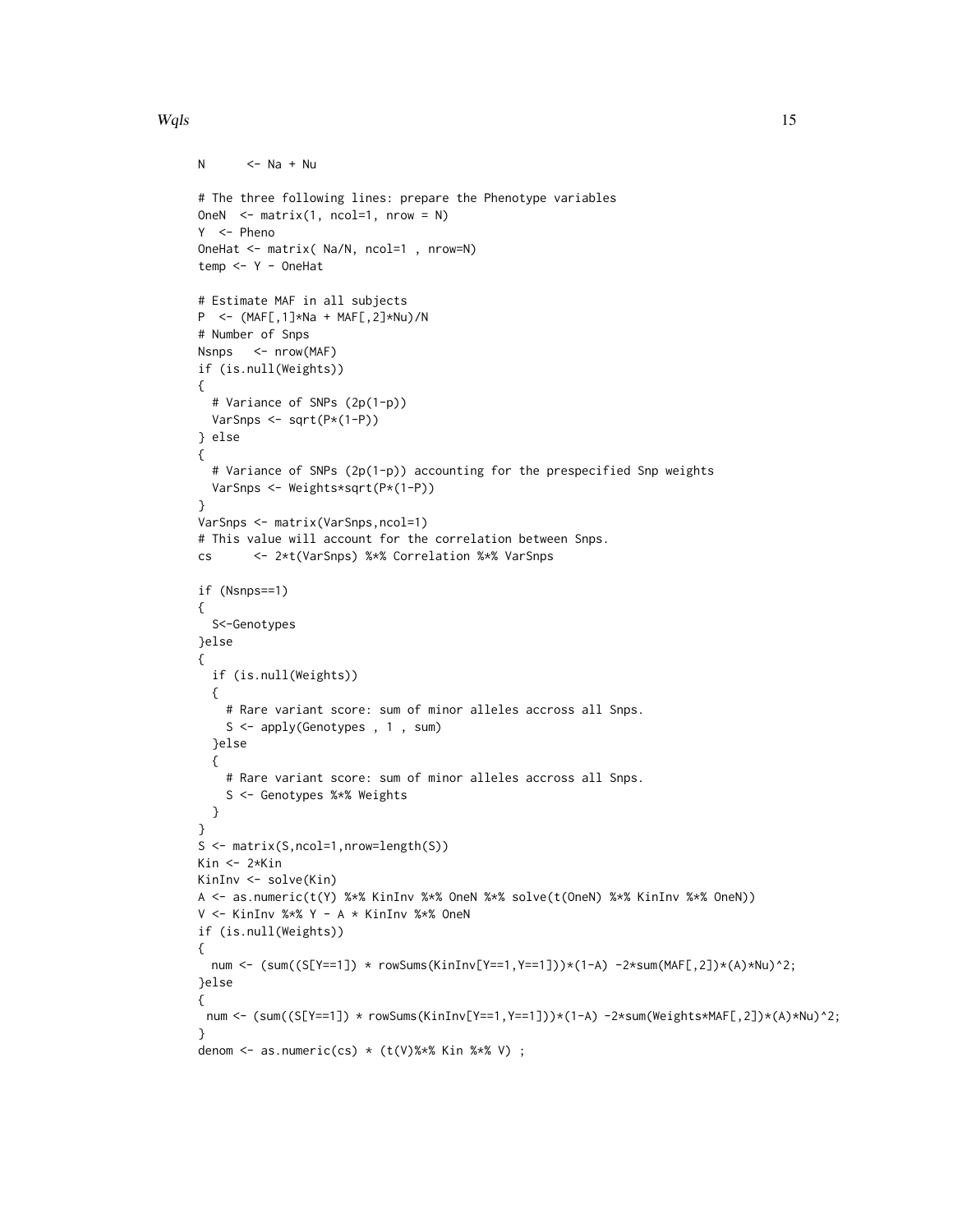# $Wqls$  15

```
N \leq -Na + Nu# The three following lines: prepare the Phenotype variables
OneN \leq- matrix(1, ncol=1, nrow = N)
Y <- Pheno
OneHat <- matrix( Na/N, ncol=1 , nrow=N)
temp <- Y - OneHat
# Estimate MAF in all subjects
P <- (MAF[,1]*Na + MAF[,2]*Nu)/N
# Number of Snps
Nsnps <- nrow(MAF)
if (is.null(Weights))
{
  # Variance of SNPs (2p(1-p))
  VarSnps <- sqrt(P*(1-P))
} else
{
  # Variance of SNPs (2p(1-p)) accounting for the prespecified Snp weights
 VarSnps <- Weights*sqrt(P*(1-P))
}
VarSnps <- matrix(VarSnps,ncol=1)
# This value will account for the correlation between Snps.
cs <- 2*t(VarSnps) %*% Correlation %*% VarSnps
if (Nsnps==1)
{
  S<-Genotypes
}else
{
 if (is.null(Weights))
  {
    # Rare variant score: sum of minor alleles accross all Snps.
    S <- apply(Genotypes , 1 , sum)
  }else
  {
    # Rare variant score: sum of minor alleles accross all Snps.
    S <- Genotypes %*% Weights
  }
}
S <- matrix(S,ncol=1,nrow=length(S))
Kin <- 2*Kin
KinInv <- solve(Kin)
A <- as.numeric(t(Y) %*% KinInv %*% OneN %*% solve(t(OneN) %*% KinInv %*% OneN))
V <- KinInv %*% Y - A * KinInv %*% OneN
if (is.null(Weights))
{
 num <- \sum_{i=1}^{\infty} (S[Y==1]) * rowSums(KinInv[Y==1,Y==1]))*(1-A) -2*sum(MAF[,2])*(A)*Nu)^2;
}else
{
 num <- (sum((S[Y==1]) * rowSums(KinInv[Y==1,Y==1]))*(1-A) -2*sum(Weights*MAF[,2])*(A)*Nu)^2;
}
denom \leq as.numeric(cs) \star (t(V)%\star% Kin %\star% V) ;
```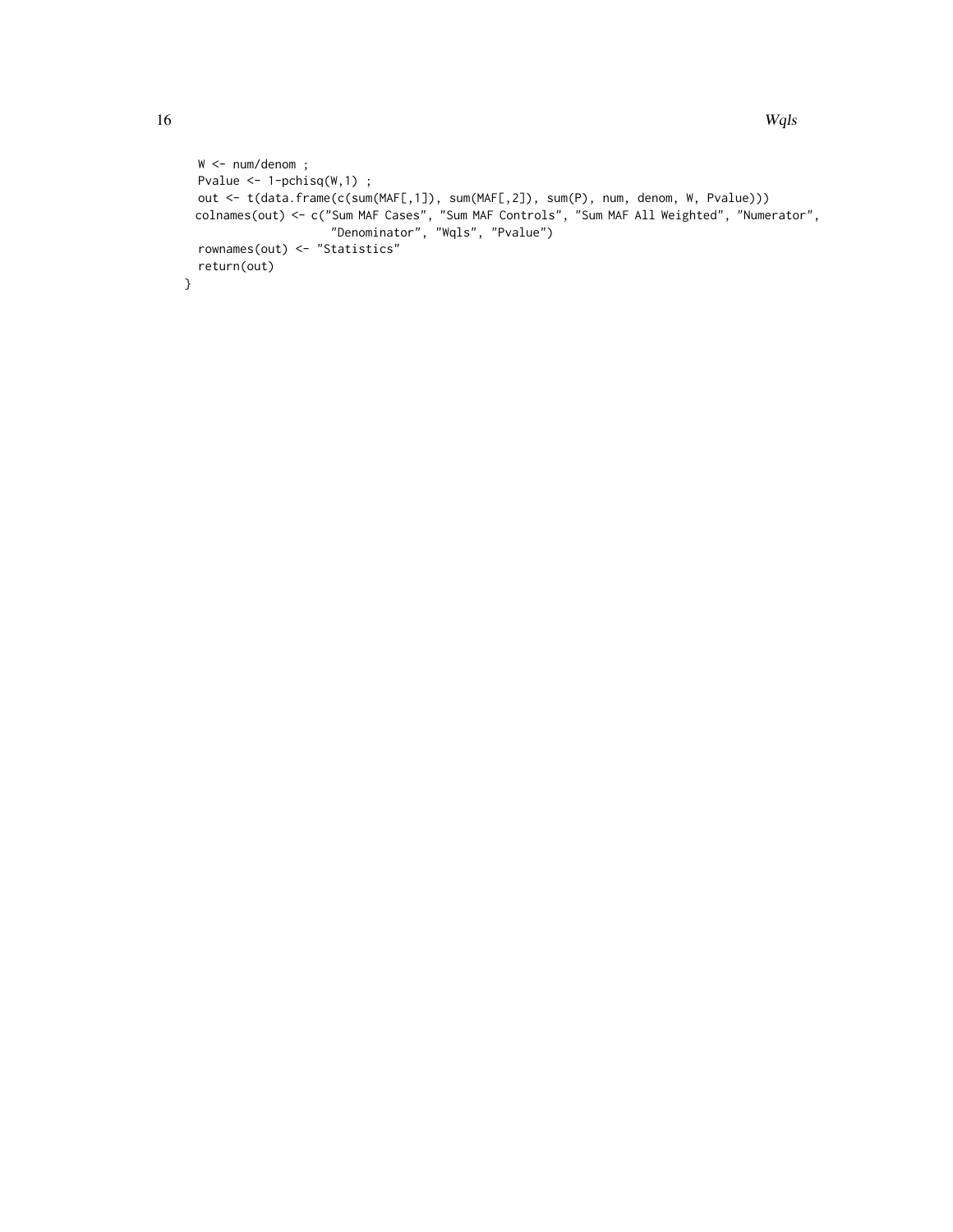```
W <- num/denom ;
 Pvalue \leftarrow 1-pchisq(W,1) ;
  out <- t(data.frame(c(sum(MAF[,1]), sum(MAF[,2]), sum(P), num, denom, W, Pvalue)))
  colnames(out) <- c("Sum MAF Cases", "Sum MAF Controls", "Sum MAF All Weighted", "Numerator",
                      "Denominator", "Wqls", "Pvalue")
  rownames(out) <- "Statistics"
  return(out)
}
```